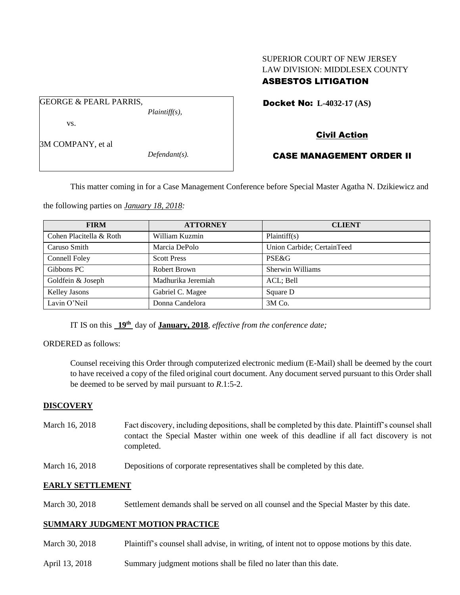# SUPERIOR COURT OF NEW JERSEY LAW DIVISION: MIDDLESEX COUNTY ASBESTOS LITIGATION

Docket No: **L-4032-17 (AS)** 

vs.

3M COMPANY, et al

GEORGE & PEARL PARRIS,

*Defendant(s).*

*Plaintiff(s),*

# Civil Action

## CASE MANAGEMENT ORDER II

This matter coming in for a Case Management Conference before Special Master Agatha N. Dzikiewicz and

the following parties on *January 18, 2018:*

| <b>FIRM</b>             | <b>ATTORNEY</b>    | <b>CLIENT</b>              |
|-------------------------|--------------------|----------------------------|
| Cohen Placitella & Roth | William Kuzmin     | Plaintiff(s)               |
| Caruso Smith            | Marcia DePolo      | Union Carbide; CertainTeed |
| Connell Foley           | <b>Scott Press</b> | PSE&G                      |
| Gibbons PC              | Robert Brown       | Sherwin Williams           |
| Goldfein & Joseph       | Madhurika Jeremiah | ACL; Bell                  |
| <b>Kelley Jasons</b>    | Gabriel C. Magee   | Square D                   |
| Lavin O'Neil            | Donna Candelora    | $3M$ Co.                   |

IT IS on this  $19<sup>th</sup>$  day of **January, 2018**, *effective from the conference date*;

## ORDERED as follows:

Counsel receiving this Order through computerized electronic medium (E-Mail) shall be deemed by the court to have received a copy of the filed original court document. Any document served pursuant to this Order shall be deemed to be served by mail pursuant to *R*.1:5-2.

## **DISCOVERY**

- March 16, 2018 Fact discovery, including depositions, shall be completed by this date. Plaintiff's counsel shall contact the Special Master within one week of this deadline if all fact discovery is not completed.
- March 16, 2018 Depositions of corporate representatives shall be completed by this date.

## **EARLY SETTLEMENT**

March 30, 2018 Settlement demands shall be served on all counsel and the Special Master by this date.

## **SUMMARY JUDGMENT MOTION PRACTICE**

- March 30, 2018 Plaintiff's counsel shall advise, in writing, of intent not to oppose motions by this date.
- April 13, 2018 Summary judgment motions shall be filed no later than this date.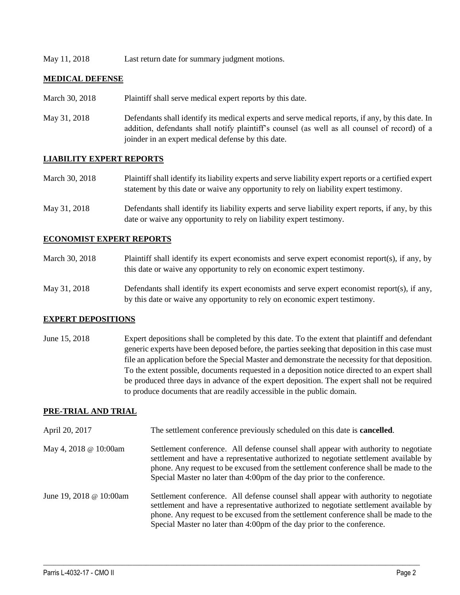May 11, 2018 Last return date for summary judgment motions.

#### **MEDICAL DEFENSE**

- March 30, 2018 Plaintiff shall serve medical expert reports by this date.
- May 31, 2018 Defendants shall identify its medical experts and serve medical reports, if any, by this date. In addition, defendants shall notify plaintiff's counsel (as well as all counsel of record) of a joinder in an expert medical defense by this date.

## **LIABILITY EXPERT REPORTS**

| March 30, 2018 | Plaintiff shall identify its liability experts and serve liability expert reports or a certified expert |
|----------------|---------------------------------------------------------------------------------------------------------|
|                | statement by this date or waive any opportunity to rely on liability expert testimony.                  |

May 31, 2018 Defendants shall identify its liability experts and serve liability expert reports, if any, by this date or waive any opportunity to rely on liability expert testimony.

#### **ECONOMIST EXPERT REPORTS**

| March 30, 2018 | Plaintiff shall identify its expert economists and serve expert economist report(s), if any, by |
|----------------|-------------------------------------------------------------------------------------------------|
|                | this date or waive any opportunity to rely on economic expert testimony.                        |

May 31, 2018 Defendants shall identify its expert economists and serve expert economist report(s), if any, by this date or waive any opportunity to rely on economic expert testimony.

#### **EXPERT DEPOSITIONS**

June 15, 2018 Expert depositions shall be completed by this date. To the extent that plaintiff and defendant generic experts have been deposed before, the parties seeking that deposition in this case must file an application before the Special Master and demonstrate the necessity for that deposition. To the extent possible, documents requested in a deposition notice directed to an expert shall be produced three days in advance of the expert deposition. The expert shall not be required to produce documents that are readily accessible in the public domain.

## **PRE-TRIAL AND TRIAL**

- April 20, 2017 The settlement conference previously scheduled on this date is **cancelled**.
- May 4, 2018 @ 10:00am Settlement conference. All defense counsel shall appear with authority to negotiate settlement and have a representative authorized to negotiate settlement available by phone. Any request to be excused from the settlement conference shall be made to the Special Master no later than 4:00pm of the day prior to the conference.
- June 19, 2018 @ 10:00am Settlement conference. All defense counsel shall appear with authority to negotiate settlement and have a representative authorized to negotiate settlement available by phone. Any request to be excused from the settlement conference shall be made to the Special Master no later than 4:00pm of the day prior to the conference.

 $\_$  ,  $\_$  ,  $\_$  ,  $\_$  ,  $\_$  ,  $\_$  ,  $\_$  ,  $\_$  ,  $\_$  ,  $\_$  ,  $\_$  ,  $\_$  ,  $\_$  ,  $\_$  ,  $\_$  ,  $\_$  ,  $\_$  ,  $\_$  ,  $\_$  ,  $\_$  ,  $\_$  ,  $\_$  ,  $\_$  ,  $\_$  ,  $\_$  ,  $\_$  ,  $\_$  ,  $\_$  ,  $\_$  ,  $\_$  ,  $\_$  ,  $\_$  ,  $\_$  ,  $\_$  ,  $\_$  ,  $\_$  ,  $\_$  ,